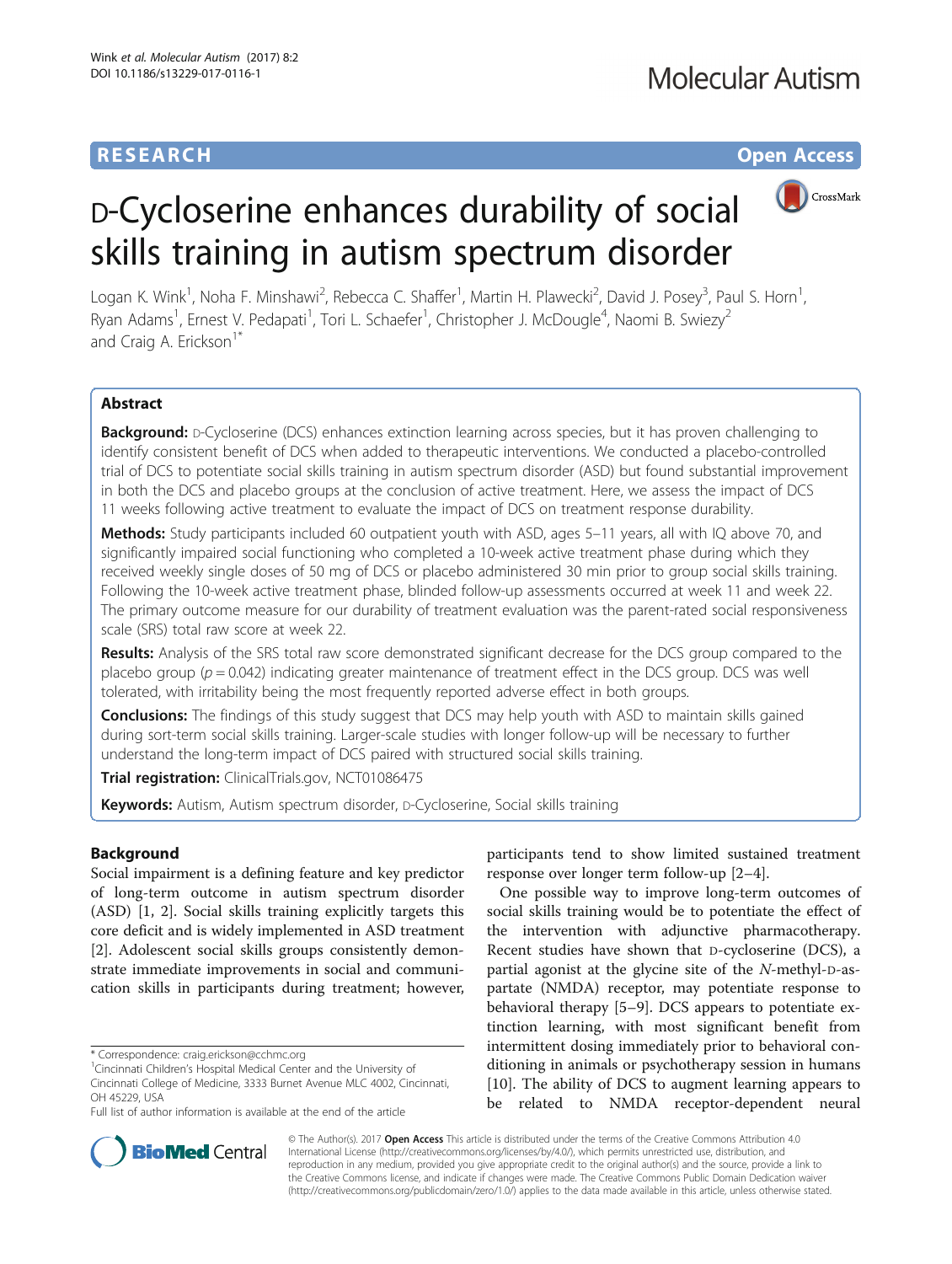## **RESEARCH CHINESE ARCH CHINESE ARCH CHINESE ARCH <b>CHINESE ARCH CHINESE ARCH CHINESE ARCH <b>CHINESE CHINESE**



# D-Cycloserine enhances durability of social skills training in autism spectrum disorder

Logan K. Wink<sup>1</sup>, Noha F. Minshawi<sup>2</sup>, Rebecca C. Shaffer<sup>1</sup>, Martin H. Plawecki<sup>2</sup>, David J. Posey<sup>3</sup>, Paul S. Horn<sup>1</sup> , Ryan Adams<sup>1</sup>, Ernest V. Pedapati<sup>1</sup>, Tori L. Schaefer<sup>1</sup>, Christopher J. McDougle<sup>4</sup>, Naomi B. Swiezy<sup>2</sup> and Craig A. Erickson<sup>1\*</sup>

## Abstract

**Background:** D-Cycloserine (DCS) enhances extinction learning across species, but it has proven challenging to identify consistent benefit of DCS when added to therapeutic interventions. We conducted a placebo-controlled trial of DCS to potentiate social skills training in autism spectrum disorder (ASD) but found substantial improvement in both the DCS and placebo groups at the conclusion of active treatment. Here, we assess the impact of DCS 11 weeks following active treatment to evaluate the impact of DCS on treatment response durability.

Methods: Study participants included 60 outpatient youth with ASD, ages 5–11 years, all with IQ above 70, and significantly impaired social functioning who completed a 10-week active treatment phase during which they received weekly single doses of 50 mg of DCS or placebo administered 30 min prior to group social skills training. Following the 10-week active treatment phase, blinded follow-up assessments occurred at week 11 and week 22. The primary outcome measure for our durability of treatment evaluation was the parent-rated social responsiveness scale (SRS) total raw score at week 22.

Results: Analysis of the SRS total raw score demonstrated significant decrease for the DCS group compared to the placebo group ( $p = 0.042$ ) indicating greater maintenance of treatment effect in the DCS group. DCS was well tolerated, with irritability being the most frequently reported adverse effect in both groups.

**Conclusions:** The findings of this study suggest that DCS may help youth with ASD to maintain skills gained during sort-term social skills training. Larger-scale studies with longer follow-up will be necessary to further understand the long-term impact of DCS paired with structured social skills training.

Trial registration: ClinicalTrials.gov, [NCT01086475](https://clinicaltrails.gov/ct2/showNCT01086475)

Keywords: Autism, Autism spectrum disorder, p-Cycloserine, Social skills training

## Background

Social impairment is a defining feature and key predictor of long-term outcome in autism spectrum disorder (ASD) [[1](#page-6-0), [2\]](#page-6-0). Social skills training explicitly targets this core deficit and is widely implemented in ASD treatment [[2\]](#page-6-0). Adolescent social skills groups consistently demonstrate immediate improvements in social and communication skills in participants during treatment; however,

participants tend to show limited sustained treatment response over longer term follow-up [[2](#page-6-0)–[4](#page-6-0)].

One possible way to improve long-term outcomes of social skills training would be to potentiate the effect of the intervention with adjunctive pharmacotherapy. Recent studies have shown that D-cycloserine (DCS), a partial agonist at the glycine site of the N-methyl-D-aspartate (NMDA) receptor, may potentiate response to behavioral therapy [\[5](#page-6-0)–[9](#page-6-0)]. DCS appears to potentiate extinction learning, with most significant benefit from intermittent dosing immediately prior to behavioral conditioning in animals or psychotherapy session in humans [[10\]](#page-6-0). The ability of DCS to augment learning appears to be related to NMDA receptor-dependent neural



© The Author(s). 2017 **Open Access** This article is distributed under the terms of the Creative Commons Attribution 4.0 International License [\(http://creativecommons.org/licenses/by/4.0/](http://creativecommons.org/licenses/by/4.0/)), which permits unrestricted use, distribution, and reproduction in any medium, provided you give appropriate credit to the original author(s) and the source, provide a link to the Creative Commons license, and indicate if changes were made. The Creative Commons Public Domain Dedication waiver [\(http://creativecommons.org/publicdomain/zero/1.0/](http://creativecommons.org/publicdomain/zero/1.0/)) applies to the data made available in this article, unless otherwise stated.

<sup>\*</sup> Correspondence: [craig.erickson@cchmc.org](mailto:craig.erickson@cchmc.org) <sup>1</sup>

<sup>&</sup>lt;sup>1</sup> Cincinnati Children's Hospital Medical Center and the University of Cincinnati College of Medicine, 3333 Burnet Avenue MLC 4002, Cincinnati,

OH 45229, USA

Full list of author information is available at the end of the article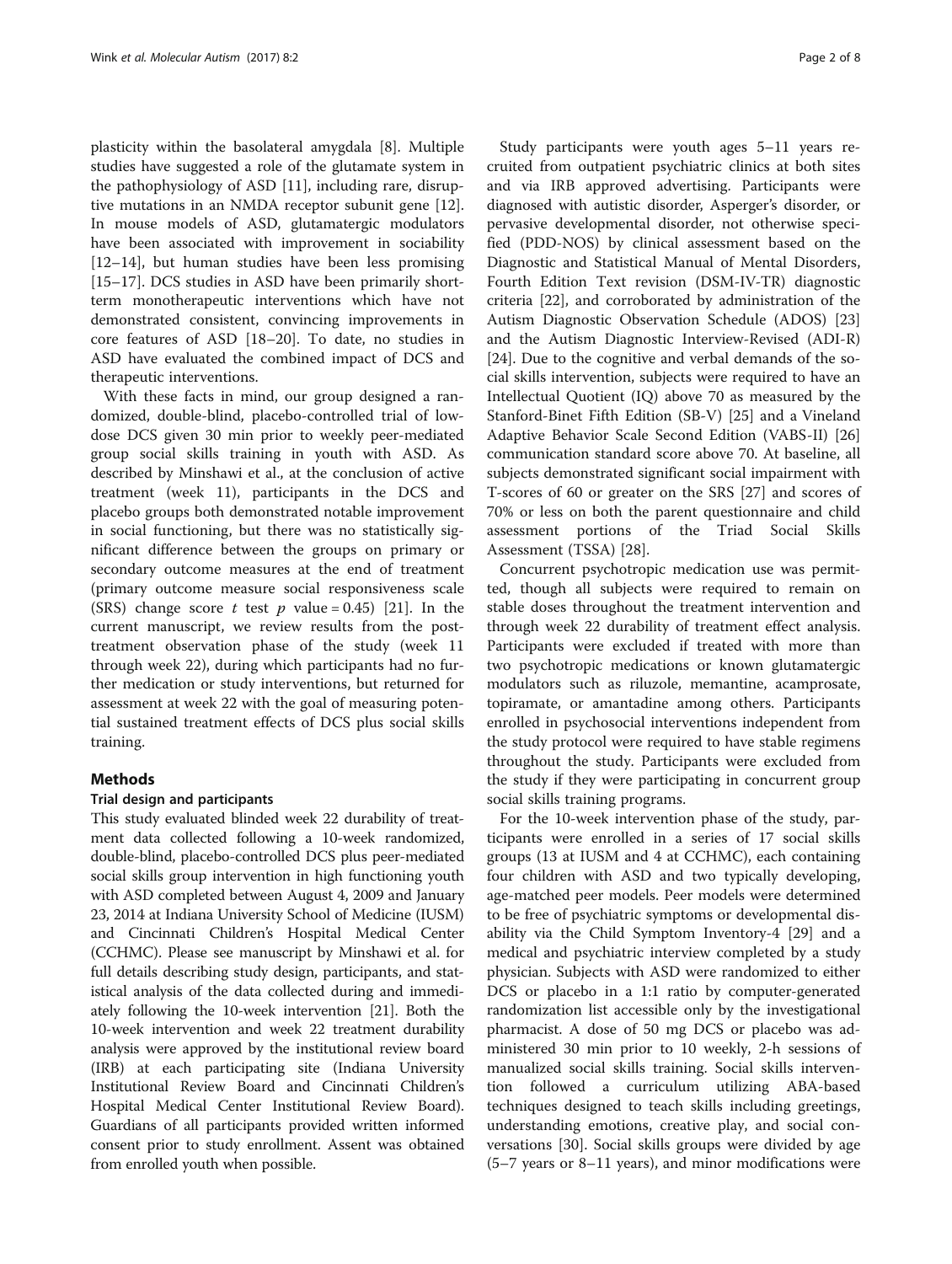plasticity within the basolateral amygdala [[8\]](#page-6-0). Multiple studies have suggested a role of the glutamate system in the pathophysiology of ASD [[11](#page-6-0)], including rare, disruptive mutations in an NMDA receptor subunit gene [\[12](#page-6-0)]. In mouse models of ASD, glutamatergic modulators have been associated with improvement in sociability [[12](#page-6-0)–[14](#page-6-0)], but human studies have been less promising [[15](#page-6-0)–[17](#page-6-0)]. DCS studies in ASD have been primarily shortterm monotherapeutic interventions which have not demonstrated consistent, convincing improvements in core features of ASD [[18](#page-6-0)–[20](#page-6-0)]. To date, no studies in ASD have evaluated the combined impact of DCS and therapeutic interventions.

With these facts in mind, our group designed a randomized, double-blind, placebo-controlled trial of lowdose DCS given 30 min prior to weekly peer-mediated group social skills training in youth with ASD. As described by Minshawi et al., at the conclusion of active treatment (week 11), participants in the DCS and placebo groups both demonstrated notable improvement in social functioning, but there was no statistically significant difference between the groups on primary or secondary outcome measures at the end of treatment (primary outcome measure social responsiveness scale (SRS) change score t test p value = 0.45) [\[21](#page-6-0)]. In the current manuscript, we review results from the posttreatment observation phase of the study (week 11 through week 22), during which participants had no further medication or study interventions, but returned for assessment at week 22 with the goal of measuring potential sustained treatment effects of DCS plus social skills training.

## Methods

## Trial design and participants

This study evaluated blinded week 22 durability of treatment data collected following a 10-week randomized, double-blind, placebo-controlled DCS plus peer-mediated social skills group intervention in high functioning youth with ASD completed between August 4, 2009 and January 23, 2014 at Indiana University School of Medicine (IUSM) and Cincinnati Children's Hospital Medical Center (CCHMC). Please see manuscript by Minshawi et al. for full details describing study design, participants, and statistical analysis of the data collected during and immediately following the 10-week intervention [\[21\]](#page-6-0). Both the 10-week intervention and week 22 treatment durability analysis were approved by the institutional review board (IRB) at each participating site (Indiana University Institutional Review Board and Cincinnati Children's Hospital Medical Center Institutional Review Board). Guardians of all participants provided written informed consent prior to study enrollment. Assent was obtained from enrolled youth when possible.

Study participants were youth ages 5–11 years recruited from outpatient psychiatric clinics at both sites and via IRB approved advertising. Participants were diagnosed with autistic disorder, Asperger's disorder, or pervasive developmental disorder, not otherwise specified (PDD-NOS) by clinical assessment based on the Diagnostic and Statistical Manual of Mental Disorders, Fourth Edition Text revision (DSM-IV-TR) diagnostic criteria [[22\]](#page-6-0), and corroborated by administration of the Autism Diagnostic Observation Schedule (ADOS) [[23](#page-6-0)] and the Autism Diagnostic Interview-Revised (ADI-R) [[24\]](#page-6-0). Due to the cognitive and verbal demands of the social skills intervention, subjects were required to have an Intellectual Quotient (IQ) above 70 as measured by the Stanford-Binet Fifth Edition (SB-V) [[25\]](#page-6-0) and a Vineland Adaptive Behavior Scale Second Edition (VABS-II) [[26](#page-6-0)] communication standard score above 70. At baseline, all subjects demonstrated significant social impairment with T-scores of 60 or greater on the SRS [\[27](#page-6-0)] and scores of 70% or less on both the parent questionnaire and child assessment portions of the Triad Social Skills Assessment (TSSA) [\[28](#page-6-0)].

Concurrent psychotropic medication use was permitted, though all subjects were required to remain on stable doses throughout the treatment intervention and through week 22 durability of treatment effect analysis. Participants were excluded if treated with more than two psychotropic medications or known glutamatergic modulators such as riluzole, memantine, acamprosate, topiramate, or amantadine among others. Participants enrolled in psychosocial interventions independent from the study protocol were required to have stable regimens throughout the study. Participants were excluded from the study if they were participating in concurrent group social skills training programs.

For the 10-week intervention phase of the study, participants were enrolled in a series of 17 social skills groups (13 at IUSM and 4 at CCHMC), each containing four children with ASD and two typically developing, age-matched peer models. Peer models were determined to be free of psychiatric symptoms or developmental disability via the Child Symptom Inventory-4 [\[29\]](#page-6-0) and a medical and psychiatric interview completed by a study physician. Subjects with ASD were randomized to either DCS or placebo in a 1:1 ratio by computer-generated randomization list accessible only by the investigational pharmacist. A dose of 50 mg DCS or placebo was administered 30 min prior to 10 weekly, 2-h sessions of manualized social skills training. Social skills intervention followed a curriculum utilizing ABA-based techniques designed to teach skills including greetings, understanding emotions, creative play, and social conversations [[30](#page-6-0)]. Social skills groups were divided by age (5–7 years or 8–11 years), and minor modifications were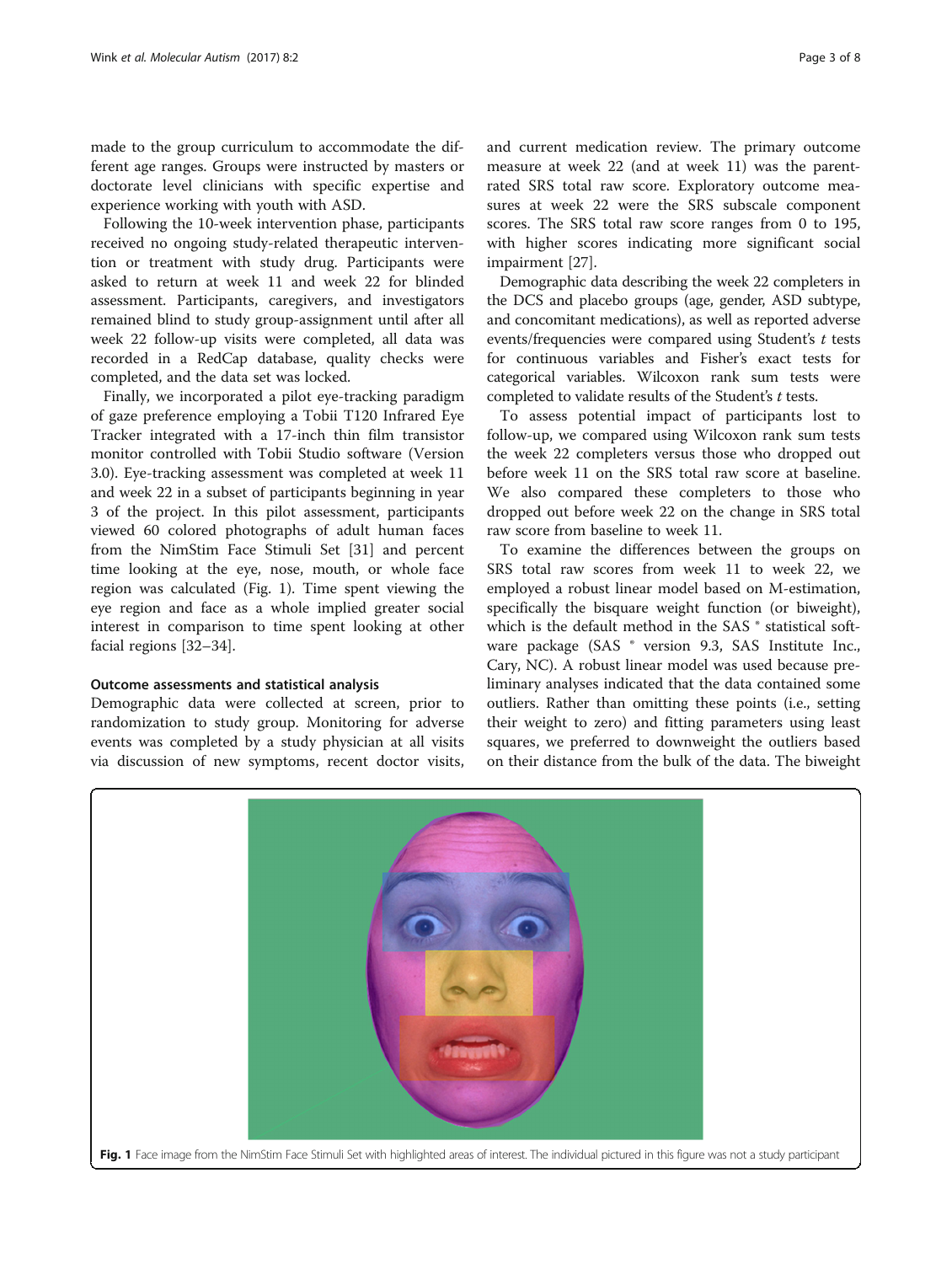made to the group curriculum to accommodate the different age ranges. Groups were instructed by masters or doctorate level clinicians with specific expertise and experience working with youth with ASD.

Following the 10-week intervention phase, participants received no ongoing study-related therapeutic intervention or treatment with study drug. Participants were asked to return at week 11 and week 22 for blinded assessment. Participants, caregivers, and investigators remained blind to study group-assignment until after all week 22 follow-up visits were completed, all data was recorded in a RedCap database, quality checks were completed, and the data set was locked.

Finally, we incorporated a pilot eye-tracking paradigm of gaze preference employing a Tobii T120 Infrared Eye Tracker integrated with a 17-inch thin film transistor monitor controlled with Tobii Studio software (Version 3.0). Eye-tracking assessment was completed at week 11 and week 22 in a subset of participants beginning in year 3 of the project. In this pilot assessment, participants viewed 60 colored photographs of adult human faces from the NimStim Face Stimuli Set [\[31](#page-6-0)] and percent time looking at the eye, nose, mouth, or whole face region was calculated (Fig. 1). Time spent viewing the eye region and face as a whole implied greater social interest in comparison to time spent looking at other facial regions [[32](#page-7-0)–[34](#page-7-0)].

#### Outcome assessments and statistical analysis

Demographic data were collected at screen, prior to randomization to study group. Monitoring for adverse events was completed by a study physician at all visits via discussion of new symptoms, recent doctor visits, and current medication review. The primary outcome measure at week 22 (and at week 11) was the parentrated SRS total raw score. Exploratory outcome measures at week 22 were the SRS subscale component scores. The SRS total raw score ranges from 0 to 195, with higher scores indicating more significant social impairment [[27](#page-6-0)].

Demographic data describing the week 22 completers in the DCS and placebo groups (age, gender, ASD subtype, and concomitant medications), as well as reported adverse events/frequencies were compared using Student's t tests for continuous variables and Fisher's exact tests for categorical variables. Wilcoxon rank sum tests were completed to validate results of the Student's t tests.

To assess potential impact of participants lost to follow-up, we compared using Wilcoxon rank sum tests the week 22 completers versus those who dropped out before week 11 on the SRS total raw score at baseline. We also compared these completers to those who dropped out before week 22 on the change in SRS total raw score from baseline to week 11.

To examine the differences between the groups on SRS total raw scores from week 11 to week 22, we employed a robust linear model based on M-estimation, specifically the bisquare weight function (or biweight), which is the default method in the SAS  $\degree$  statistical software package (SAS ® version 9.3, SAS Institute Inc., Cary, NC). A robust linear model was used because preliminary analyses indicated that the data contained some outliers. Rather than omitting these points (i.e., setting their weight to zero) and fitting parameters using least squares, we preferred to downweight the outliers based on their distance from the bulk of the data. The biweight

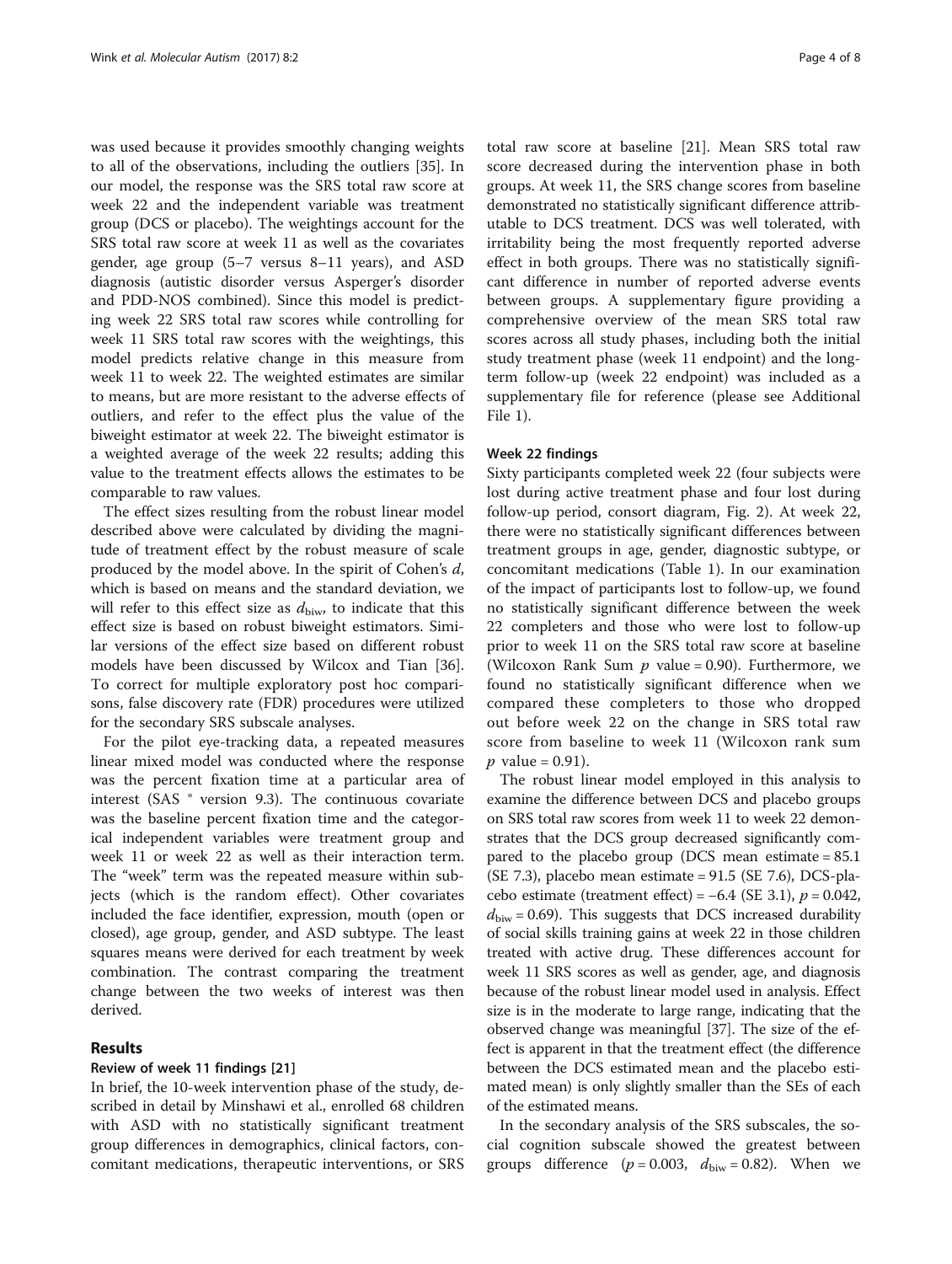was used because it provides smoothly changing weights to all of the observations, including the outliers [\[35\]](#page-7-0). In our model, the response was the SRS total raw score at week 22 and the independent variable was treatment group (DCS or placebo). The weightings account for the SRS total raw score at week 11 as well as the covariates gender, age group (5–7 versus 8–11 years), and ASD diagnosis (autistic disorder versus Asperger's disorder and PDD-NOS combined). Since this model is predicting week 22 SRS total raw scores while controlling for week 11 SRS total raw scores with the weightings, this model predicts relative change in this measure from week 11 to week 22. The weighted estimates are similar to means, but are more resistant to the adverse effects of outliers, and refer to the effect plus the value of the biweight estimator at week 22. The biweight estimator is a weighted average of the week 22 results; adding this value to the treatment effects allows the estimates to be comparable to raw values.

The effect sizes resulting from the robust linear model described above were calculated by dividing the magnitude of treatment effect by the robust measure of scale produced by the model above. In the spirit of Cohen's d, which is based on means and the standard deviation, we will refer to this effect size as  $d_{\text{biw}}$ , to indicate that this effect size is based on robust biweight estimators. Similar versions of the effect size based on different robust models have been discussed by Wilcox and Tian [\[36](#page-7-0)]. To correct for multiple exploratory post hoc comparisons, false discovery rate (FDR) procedures were utilized for the secondary SRS subscale analyses.

For the pilot eye-tracking data, a repeated measures linear mixed model was conducted where the response was the percent fixation time at a particular area of interest (SAS ® version 9.3). The continuous covariate was the baseline percent fixation time and the categorical independent variables were treatment group and week 11 or week 22 as well as their interaction term. The "week" term was the repeated measure within subjects (which is the random effect). Other covariates included the face identifier, expression, mouth (open or closed), age group, gender, and ASD subtype. The least squares means were derived for each treatment by week combination. The contrast comparing the treatment change between the two weeks of interest was then derived.

#### Results

#### Review of week 11 findings [\[21](#page-6-0)]

In brief, the 10-week intervention phase of the study, described in detail by Minshawi et al., enrolled 68 children with ASD with no statistically significant treatment group differences in demographics, clinical factors, concomitant medications, therapeutic interventions, or SRS total raw score at baseline [\[21](#page-6-0)]. Mean SRS total raw score decreased during the intervention phase in both groups. At week 11, the SRS change scores from baseline demonstrated no statistically significant difference attributable to DCS treatment. DCS was well tolerated, with irritability being the most frequently reported adverse effect in both groups. There was no statistically significant difference in number of reported adverse events between groups. A supplementary figure providing a comprehensive overview of the mean SRS total raw scores across all study phases, including both the initial study treatment phase (week 11 endpoint) and the longterm follow-up (week 22 endpoint) was included as a supplementary file for reference (please see Additional File 1).

#### Week 22 findings

Sixty participants completed week 22 (four subjects were lost during active treatment phase and four lost during follow-up period, consort diagram, Fig. [2](#page-4-0)). At week 22, there were no statistically significant differences between treatment groups in age, gender, diagnostic subtype, or concomitant medications (Table [1\)](#page-4-0). In our examination of the impact of participants lost to follow-up, we found no statistically significant difference between the week 22 completers and those who were lost to follow-up prior to week 11 on the SRS total raw score at baseline (Wilcoxon Rank Sum  $p$  value = 0.90). Furthermore, we found no statistically significant difference when we compared these completers to those who dropped out before week 22 on the change in SRS total raw score from baseline to week 11 (Wilcoxon rank sum p value =  $0.91$ ).

The robust linear model employed in this analysis to examine the difference between DCS and placebo groups on SRS total raw scores from week 11 to week 22 demonstrates that the DCS group decreased significantly compared to the placebo group (DCS mean estimate  $= 85.1$ ) (SE 7.3), placebo mean estimate =  $91.5$  (SE 7.6), DCS-placebo estimate (treatment effect) =  $-6.4$  (SE 3.1),  $p = 0.042$ ,  $d_{\text{biw}}$  = 0.69). This suggests that DCS increased durability of social skills training gains at week 22 in those children treated with active drug. These differences account for week 11 SRS scores as well as gender, age, and diagnosis because of the robust linear model used in analysis. Effect size is in the moderate to large range, indicating that the observed change was meaningful [\[37\]](#page-7-0). The size of the effect is apparent in that the treatment effect (the difference between the DCS estimated mean and the placebo estimated mean) is only slightly smaller than the SEs of each of the estimated means.

In the secondary analysis of the SRS subscales, the social cognition subscale showed the greatest between groups difference ( $p = 0.003$ ,  $d_{\text{biw}} = 0.82$ ). When we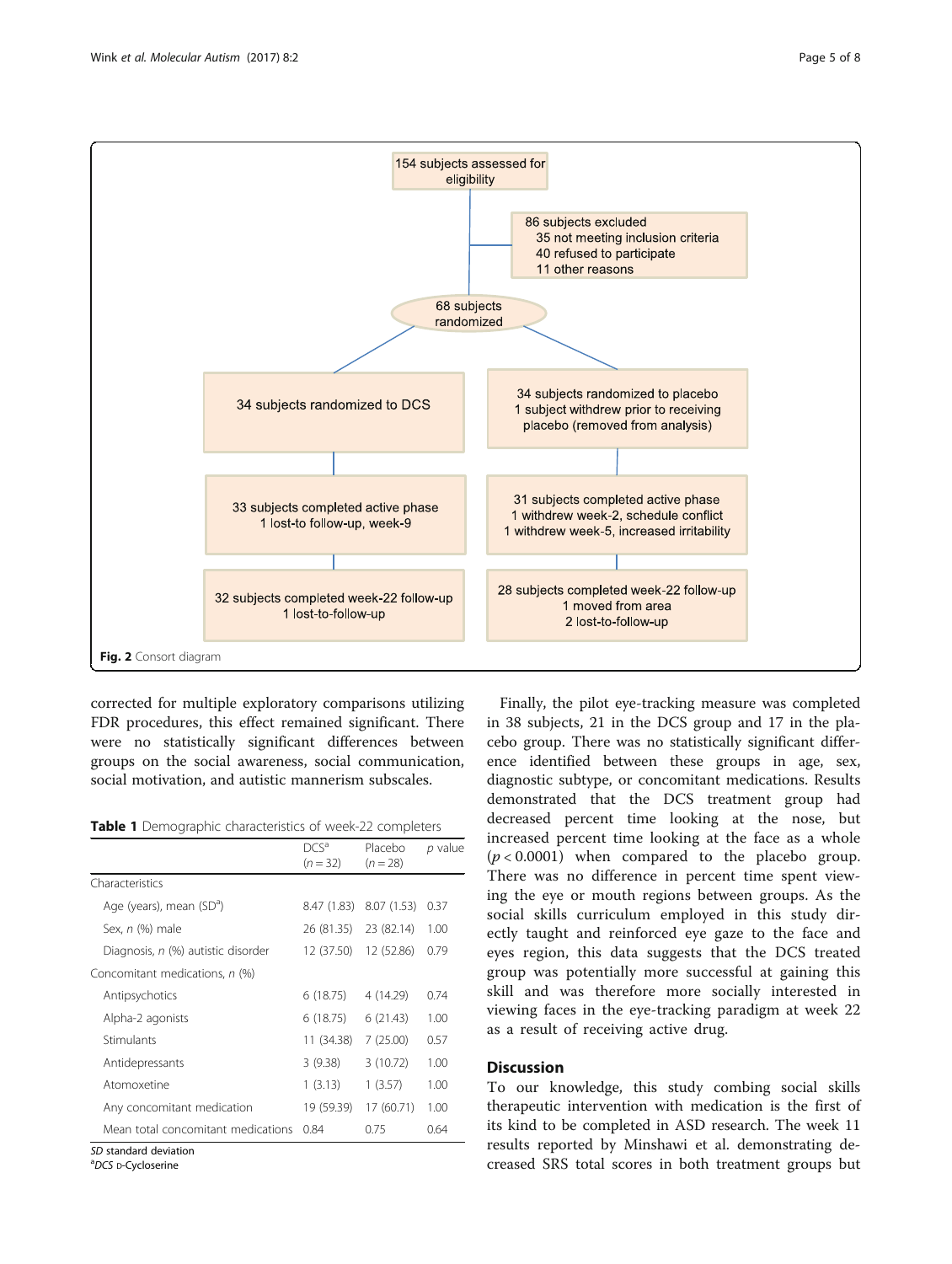<span id="page-4-0"></span>

corrected for multiple exploratory comparisons utilizing FDR procedures, this effect remained significant. There were no statistically significant differences between groups on the social awareness, social communication, social motivation, and autistic mannerism subscales.

Table 1 Demographic characteristics of week-22 completers

|                                      | DCSª<br>$(n = 32)$ | Placebo<br>$(n=28)$ | p value |
|--------------------------------------|--------------------|---------------------|---------|
| Characteristics                      |                    |                     |         |
| Age (years), mean (SD <sup>d</sup> ) | 8.47(1.83)         | 8.07(1.53)          | 0.37    |
| Sex, n (%) male                      | 26 (81.35)         | 23 (82.14)          | 1.00    |
| Diagnosis, n (%) autistic disorder   | 12 (37.50)         | 12 (52.86)          | 0.79    |
| Concomitant medications, n (%)       |                    |                     |         |
| Antipsychotics                       | 6(18.75)           | 4 (14.29)           | 0.74    |
| Alpha-2 agonists                     | 6(18.75)           | 6(21.43)            | 1.00    |
| Stimulants                           | 11 (34.38)         | 7(25.00)            | 0.57    |
| Antidepressants                      | 3(9.38)            | 3(10.72)            | 1.00    |
| Atomoxetine                          | 1(3.13)            | 1(3.57)             | 1.00    |
| Any concomitant medication           | 19 (59.39)         | 17 (60.71)          | 1.00    |
| Mean total concomitant medications   | 0.84               | 0.75                | 0.64    |

SD standard deviation

<sup>a</sup>DCS D-Cycloserine

Finally, the pilot eye-tracking measure was completed in 38 subjects, 21 in the DCS group and 17 in the placebo group. There was no statistically significant difference identified between these groups in age, sex, diagnostic subtype, or concomitant medications. Results demonstrated that the DCS treatment group had decreased percent time looking at the nose, but increased percent time looking at the face as a whole  $(p < 0.0001)$  when compared to the placebo group. There was no difference in percent time spent viewing the eye or mouth regions between groups. As the social skills curriculum employed in this study directly taught and reinforced eye gaze to the face and eyes region, this data suggests that the DCS treated group was potentially more successful at gaining this skill and was therefore more socially interested in viewing faces in the eye-tracking paradigm at week 22 as a result of receiving active drug.

## **Discussion**

To our knowledge, this study combing social skills therapeutic intervention with medication is the first of its kind to be completed in ASD research. The week 11 results reported by Minshawi et al. demonstrating decreased SRS total scores in both treatment groups but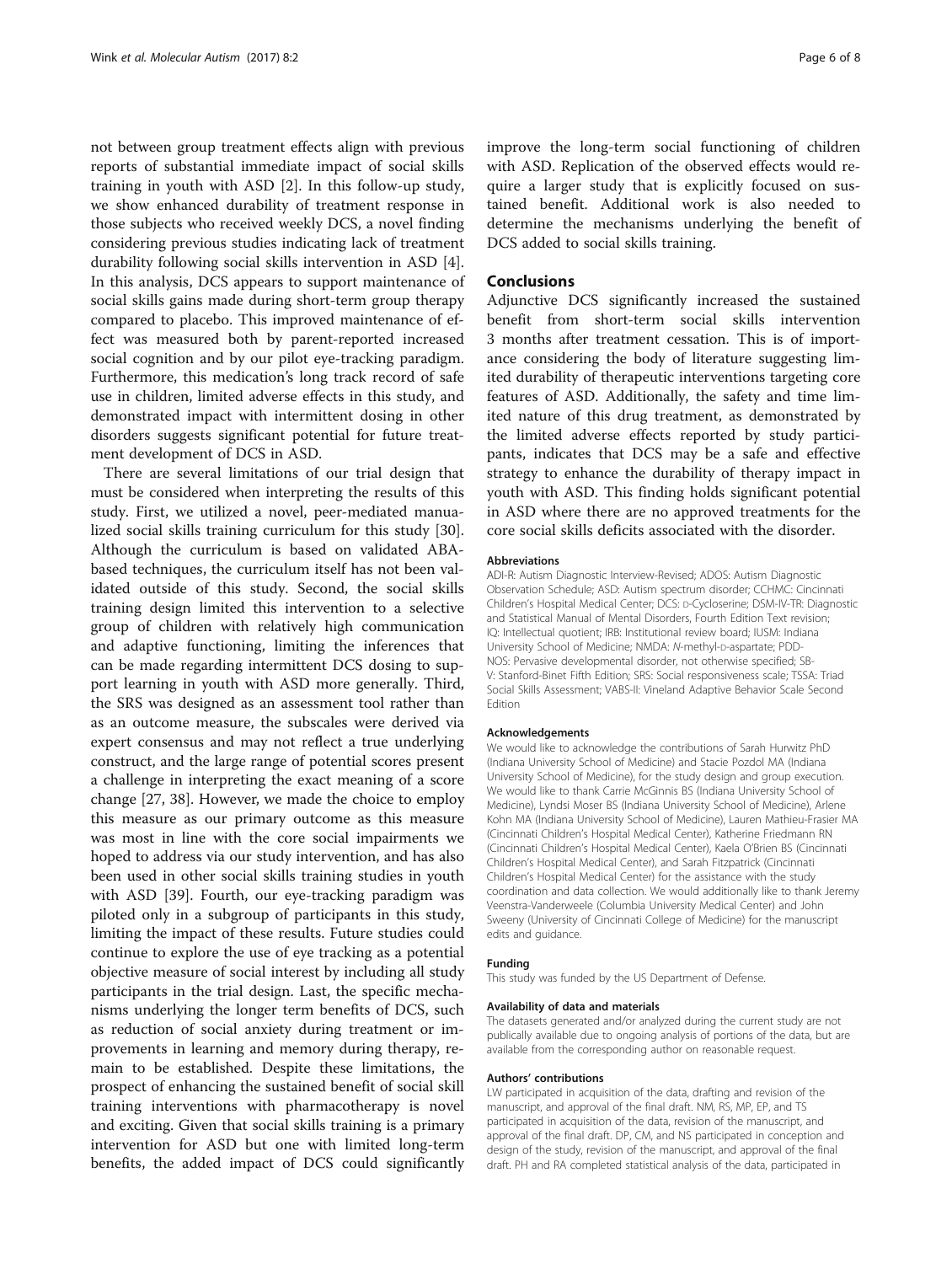not between group treatment effects align with previous reports of substantial immediate impact of social skills training in youth with ASD [[2\]](#page-6-0). In this follow-up study, we show enhanced durability of treatment response in those subjects who received weekly DCS, a novel finding considering previous studies indicating lack of treatment durability following social skills intervention in ASD [\[4](#page-6-0)]. In this analysis, DCS appears to support maintenance of social skills gains made during short-term group therapy compared to placebo. This improved maintenance of effect was measured both by parent-reported increased social cognition and by our pilot eye-tracking paradigm. Furthermore, this medication's long track record of safe use in children, limited adverse effects in this study, and demonstrated impact with intermittent dosing in other disorders suggests significant potential for future treatment development of DCS in ASD.

There are several limitations of our trial design that must be considered when interpreting the results of this study. First, we utilized a novel, peer-mediated manualized social skills training curriculum for this study [\[30](#page-6-0)]. Although the curriculum is based on validated ABAbased techniques, the curriculum itself has not been validated outside of this study. Second, the social skills training design limited this intervention to a selective group of children with relatively high communication and adaptive functioning, limiting the inferences that can be made regarding intermittent DCS dosing to support learning in youth with ASD more generally. Third, the SRS was designed as an assessment tool rather than as an outcome measure, the subscales were derived via expert consensus and may not reflect a true underlying construct, and the large range of potential scores present a challenge in interpreting the exact meaning of a score change [\[27](#page-6-0), [38](#page-7-0)]. However, we made the choice to employ this measure as our primary outcome as this measure was most in line with the core social impairments we hoped to address via our study intervention, and has also been used in other social skills training studies in youth with ASD [[39\]](#page-7-0). Fourth, our eye-tracking paradigm was piloted only in a subgroup of participants in this study, limiting the impact of these results. Future studies could continue to explore the use of eye tracking as a potential objective measure of social interest by including all study participants in the trial design. Last, the specific mechanisms underlying the longer term benefits of DCS, such as reduction of social anxiety during treatment or improvements in learning and memory during therapy, remain to be established. Despite these limitations, the prospect of enhancing the sustained benefit of social skill training interventions with pharmacotherapy is novel and exciting. Given that social skills training is a primary intervention for ASD but one with limited long-term benefits, the added impact of DCS could significantly

improve the long-term social functioning of children with ASD. Replication of the observed effects would require a larger study that is explicitly focused on sustained benefit. Additional work is also needed to determine the mechanisms underlying the benefit of DCS added to social skills training.

#### Conclusions

Adjunctive DCS significantly increased the sustained benefit from short-term social skills intervention 3 months after treatment cessation. This is of importance considering the body of literature suggesting limited durability of therapeutic interventions targeting core features of ASD. Additionally, the safety and time limited nature of this drug treatment, as demonstrated by the limited adverse effects reported by study participants, indicates that DCS may be a safe and effective strategy to enhance the durability of therapy impact in youth with ASD. This finding holds significant potential in ASD where there are no approved treatments for the core social skills deficits associated with the disorder.

#### Abbreviations

ADI-R: Autism Diagnostic Interview-Revised; ADOS: Autism Diagnostic Observation Schedule; ASD: Autism spectrum disorder; CCHMC: Cincinnati Children's Hospital Medical Center; DCS: D-Cycloserine; DSM-IV-TR: Diagnostic and Statistical Manual of Mental Disorders, Fourth Edition Text revision; IQ: Intellectual quotient; IRB: Institutional review board; IUSM: Indiana University School of Medicine; NMDA: N-methyl-D-aspartate; PDD-NOS: Pervasive developmental disorder, not otherwise specified; SB-V: Stanford-Binet Fifth Edition; SRS: Social responsiveness scale; TSSA: Triad Social Skills Assessment; VABS-II: Vineland Adaptive Behavior Scale Second Edition

#### Acknowledgements

We would like to acknowledge the contributions of Sarah Hurwitz PhD (Indiana University School of Medicine) and Stacie Pozdol MA (Indiana University School of Medicine), for the study design and group execution. We would like to thank Carrie McGinnis BS (Indiana University School of Medicine), Lyndsi Moser BS (Indiana University School of Medicine), Arlene Kohn MA (Indiana University School of Medicine), Lauren Mathieu-Frasier MA (Cincinnati Children's Hospital Medical Center), Katherine Friedmann RN (Cincinnati Children's Hospital Medical Center), Kaela O'Brien BS (Cincinnati Children's Hospital Medical Center), and Sarah Fitzpatrick (Cincinnati Children's Hospital Medical Center) for the assistance with the study coordination and data collection. We would additionally like to thank Jeremy Veenstra-Vanderweele (Columbia University Medical Center) and John Sweeny (University of Cincinnati College of Medicine) for the manuscript edits and guidance.

#### Funding

This study was funded by the US Department of Defense.

#### Availability of data and materials

The datasets generated and/or analyzed during the current study are not publically available due to ongoing analysis of portions of the data, but are available from the corresponding author on reasonable request.

#### Authors' contributions

LW participated in acquisition of the data, drafting and revision of the manuscript, and approval of the final draft. NM, RS, MP, EP, and TS participated in acquisition of the data, revision of the manuscript, and approval of the final draft. DP, CM, and NS participated in conception and design of the study, revision of the manuscript, and approval of the final draft. PH and RA completed statistical analysis of the data, participated in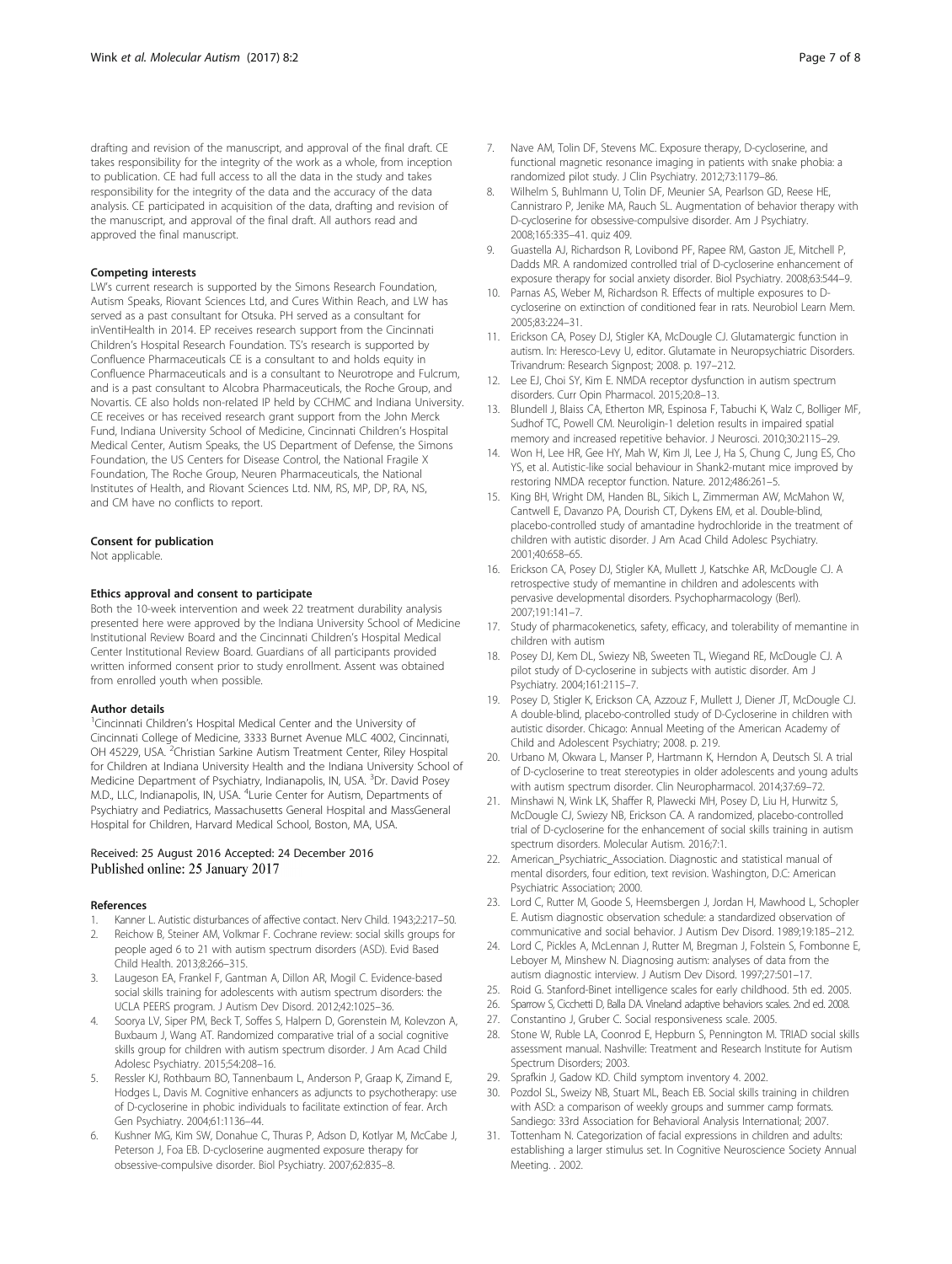<span id="page-6-0"></span>drafting and revision of the manuscript, and approval of the final draft. CE takes responsibility for the integrity of the work as a whole, from inception to publication. CE had full access to all the data in the study and takes responsibility for the integrity of the data and the accuracy of the data analysis. CE participated in acquisition of the data, drafting and revision of the manuscript, and approval of the final draft. All authors read and approved the final manuscript.

#### Competing interests

LW's current research is supported by the Simons Research Foundation, Autism Speaks, Riovant Sciences Ltd, and Cures Within Reach, and LW has served as a past consultant for Otsuka. PH served as a consultant for inVentiHealth in 2014. EP receives research support from the Cincinnati Children's Hospital Research Foundation. TS's research is supported by Confluence Pharmaceuticals CE is a consultant to and holds equity in Confluence Pharmaceuticals and is a consultant to Neurotrope and Fulcrum, and is a past consultant to Alcobra Pharmaceuticals, the Roche Group, and Novartis. CE also holds non-related IP held by CCHMC and Indiana University. CE receives or has received research grant support from the John Merck Fund, Indiana University School of Medicine, Cincinnati Children's Hospital Medical Center, Autism Speaks, the US Department of Defense, the Simons Foundation, the US Centers for Disease Control, the National Fragile X Foundation, The Roche Group, Neuren Pharmaceuticals, the National Institutes of Health, and Riovant Sciences Ltd. NM, RS, MP, DP, RA, NS, and CM have no conflicts to report.

#### Consent for publication

Not applicable.

#### Ethics approval and consent to participate

Both the 10-week intervention and week 22 treatment durability analysis presented here were approved by the Indiana University School of Medicine Institutional Review Board and the Cincinnati Children's Hospital Medical Center Institutional Review Board. Guardians of all participants provided written informed consent prior to study enrollment. Assent was obtained from enrolled youth when possible.

#### Author details

<sup>1</sup> Cincinnati Children's Hospital Medical Center and the University of Cincinnati College of Medicine, 3333 Burnet Avenue MLC 4002, Cincinnati, OH 45229, USA.<sup>72</sup>Christian Sarkine Autism Treatment Center, Riley Hospital for Children at Indiana University Health and the Indiana University School of Medicine Department of Psychiatry, Indianapolis, IN, USA. <sup>3</sup>Dr. David Posey M.D., LLC, Indianapolis, IN, USA. <sup>4</sup>Lurie Center for Autism, Departments of Psychiatry and Pediatrics, Massachusetts General Hospital and MassGeneral Hospital for Children, Harvard Medical School, Boston, MA, USA.

### Received: 25 August 2016 Accepted: 24 December 2016 Published online: 25 January 2017

#### References

- 1. Kanner L. Autistic disturbances of affective contact. Nerv Child. 1943;2:217–50.
- 2. Reichow B, Steiner AM, Volkmar F. Cochrane review: social skills groups for people aged 6 to 21 with autism spectrum disorders (ASD). Evid Based Child Health. 2013;8:266–315.
- 3. Laugeson EA, Frankel F, Gantman A, Dillon AR, Mogil C. Evidence-based social skills training for adolescents with autism spectrum disorders: the UCLA PEERS program. J Autism Dev Disord. 2012;42:1025–36.
- 4. Soorya LV, Siper PM, Beck T, Soffes S, Halpern D, Gorenstein M, Kolevzon A, Buxbaum J, Wang AT. Randomized comparative trial of a social cognitive skills group for children with autism spectrum disorder. J Am Acad Child Adolesc Psychiatry. 2015;54:208–16.
- Ressler KJ, Rothbaum BO, Tannenbaum L, Anderson P, Graap K, Zimand E, Hodges L, Davis M. Cognitive enhancers as adjuncts to psychotherapy: use of D-cycloserine in phobic individuals to facilitate extinction of fear. Arch Gen Psychiatry. 2004;61:1136–44.
- Kushner MG, Kim SW, Donahue C, Thuras P, Adson D, Kotlyar M, McCabe J, Peterson J, Foa EB. D-cycloserine augmented exposure therapy for obsessive-compulsive disorder. Biol Psychiatry. 2007;62:835–8.
- 7. Nave AM, Tolin DF, Stevens MC. Exposure therapy, D-cycloserine, and functional magnetic resonance imaging in patients with snake phobia: a randomized pilot study. J Clin Psychiatry. 2012;73:1179–86.
- 8. Wilhelm S, Buhlmann U, Tolin DF, Meunier SA, Pearlson GD, Reese HE, Cannistraro P, Jenike MA, Rauch SL. Augmentation of behavior therapy with D-cycloserine for obsessive-compulsive disorder. Am J Psychiatry. 2008;165:335–41. quiz 409.
- 9. Guastella AJ, Richardson R, Lovibond PF, Rapee RM, Gaston JE, Mitchell P, Dadds MR. A randomized controlled trial of D-cycloserine enhancement of exposure therapy for social anxiety disorder. Biol Psychiatry. 2008;63:544–9.
- 10. Parnas AS, Weber M, Richardson R. Effects of multiple exposures to Dcycloserine on extinction of conditioned fear in rats. Neurobiol Learn Mem. 2005;83:224–31.
- 11. Erickson CA, Posey DJ, Stigler KA, McDougle CJ. Glutamatergic function in autism. In: Heresco-Levy U, editor. Glutamate in Neuropsychiatric Disorders. Trivandrum: Research Signpost; 2008. p. 197–212.
- 12. Lee EJ, Choi SY, Kim E. NMDA receptor dysfunction in autism spectrum disorders. Curr Opin Pharmacol. 2015;20:8–13.
- 13. Blundell J, Blaiss CA, Etherton MR, Espinosa F, Tabuchi K, Walz C, Bolliger MF, Sudhof TC, Powell CM. Neuroligin-1 deletion results in impaired spatial memory and increased repetitive behavior. J Neurosci. 2010;30:2115–29.
- 14. Won H, Lee HR, Gee HY, Mah W, Kim JI, Lee J, Ha S, Chung C, Jung ES, Cho YS, et al. Autistic-like social behaviour in Shank2-mutant mice improved by restoring NMDA receptor function. Nature. 2012;486:261–5.
- 15. King BH, Wright DM, Handen BL, Sikich L, Zimmerman AW, McMahon W, Cantwell E, Davanzo PA, Dourish CT, Dykens EM, et al. Double-blind, placebo-controlled study of amantadine hydrochloride in the treatment of children with autistic disorder. J Am Acad Child Adolesc Psychiatry. 2001;40:658–65.
- 16. Erickson CA, Posey DJ, Stigler KA, Mullett J, Katschke AR, McDougle CJ. A retrospective study of memantine in children and adolescents with pervasive developmental disorders. Psychopharmacology (Berl). 2007;191:141–7.
- 17. Study of pharmacokenetics, safety, efficacy, and tolerability of memantine in children with autism
- 18. Posey DJ, Kem DL, Swiezy NB, Sweeten TL, Wiegand RE, McDougle CJ. A pilot study of D-cycloserine in subjects with autistic disorder. Am J Psychiatry. 2004;161:2115–7.
- 19. Posey D, Stigler K, Erickson CA, Azzouz F, Mullett J, Diener JT, McDougle CJ. A double-blind, placebo-controlled study of D-Cycloserine in children with autistic disorder. Chicago: Annual Meeting of the American Academy of Child and Adolescent Psychiatry; 2008. p. 219.
- 20. Urbano M, Okwara L, Manser P, Hartmann K, Herndon A, Deutsch SI. A trial of D-cycloserine to treat stereotypies in older adolescents and young adults with autism spectrum disorder. Clin Neuropharmacol. 2014;37:69–72.
- 21. Minshawi N, Wink LK, Shaffer R, Plawecki MH, Posey D, Liu H, Hurwitz S, McDougle CJ, Swiezy NB, Erickson CA. A randomized, placebo-controlled trial of D-cycloserine for the enhancement of social skills training in autism spectrum disorders. Molecular Autism. 2016;7:1.
- 22. American Psychiatric Association. Diagnostic and statistical manual of mental disorders, four edition, text revision. Washington, D.C: American Psychiatric Association; 2000.
- 23. Lord C, Rutter M, Goode S, Heemsbergen J, Jordan H, Mawhood L, Schopler E. Autism diagnostic observation schedule: a standardized observation of communicative and social behavior. J Autism Dev Disord. 1989;19:185–212.
- 24. Lord C, Pickles A, McLennan J, Rutter M, Bregman J, Folstein S, Fombonne E, Leboyer M, Minshew N. Diagnosing autism: analyses of data from the autism diagnostic interview. J Autism Dev Disord. 1997;27:501–17.
- 25. Roid G. Stanford-Binet intelligence scales for early childhood. 5th ed. 2005.
- 26. Sparrow S, Cicchetti D, Balla DA. Vineland adaptive behaviors scales. 2nd ed. 2008.
- 27. Constantino J, Gruber C. Social responsiveness scale. 2005.
- 28. Stone W, Ruble LA, Coonrod E, Hepburn S, Pennington M. TRIAD social skills assessment manual. Nashville: Treatment and Research Institute for Autism Spectrum Disorders; 2003.
- 29. Sprafkin J, Gadow KD. Child symptom inventory 4. 2002.
- 30. Pozdol SL, Sweizy NB, Stuart ML, Beach EB. Social skills training in children with ASD: a comparison of weekly groups and summer camp formats. Sandiego: 33rd Association for Behavioral Analysis International; 2007.
- 31. Tottenham N. Categorization of facial expressions in children and adults: establishing a larger stimulus set. In Cognitive Neuroscience Society Annual Meeting. . 2002.